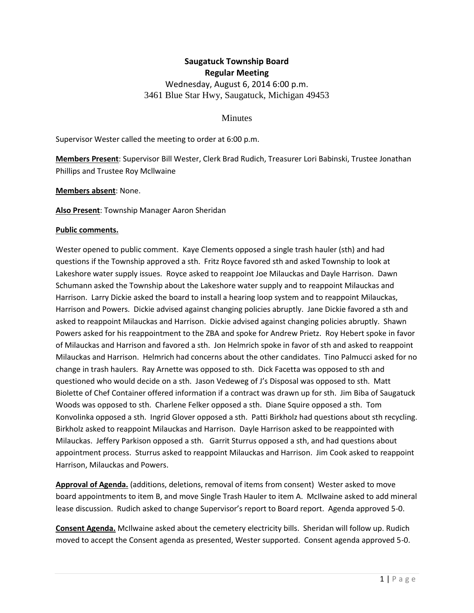# **Saugatuck Township Board Regular Meeting** Wednesday, August 6, 2014 6:00 p.m. 3461 Blue Star Hwy, Saugatuck, Michigan 49453

## **Minutes**

Supervisor Wester called the meeting to order at 6:00 p.m.

**Members Present**: Supervisor Bill Wester, Clerk Brad Rudich, Treasurer Lori Babinski, Trustee Jonathan Phillips and Trustee Roy Mcllwaine

**Members absent**: None.

**Also Present**: Township Manager Aaron Sheridan

### **Public comments.**

Wester opened to public comment. Kaye Clements opposed a single trash hauler (sth) and had questions if the Township approved a sth. Fritz Royce favored sth and asked Township to look at Lakeshore water supply issues. Royce asked to reappoint Joe Milauckas and Dayle Harrison. Dawn Schumann asked the Township about the Lakeshore water supply and to reappoint Milauckas and Harrison. Larry Dickie asked the board to install a hearing loop system and to reappoint Milauckas, Harrison and Powers. Dickie advised against changing policies abruptly. Jane Dickie favored a sth and asked to reappoint Milauckas and Harrison. Dickie advised against changing policies abruptly. Shawn Powers asked for his reappointment to the ZBA and spoke for Andrew Prietz. Roy Hebert spoke in favor of Milauckas and Harrison and favored a sth. Jon Helmrich spoke in favor of sth and asked to reappoint Milauckas and Harrison. Helmrich had concerns about the other candidates. Tino Palmucci asked for no change in trash haulers. Ray Arnette was opposed to sth. Dick Facetta was opposed to sth and questioned who would decide on a sth. Jason Vedeweg of J's Disposal was opposed to sth. Matt Biolette of Chef Container offered information if a contract was drawn up for sth. Jim Biba of Saugatuck Woods was opposed to sth. Charlene Felker opposed a sth. Diane Squire opposed a sth. Tom Konvolinka opposed a sth. Ingrid Glover opposed a sth. Patti Birkholz had questions about sth recycling. Birkholz asked to reappoint Milauckas and Harrison. Dayle Harrison asked to be reappointed with Milauckas. Jeffery Parkison opposed a sth. Garrit Sturrus opposed a sth, and had questions about appointment process. Sturrus asked to reappoint Milauckas and Harrison. Jim Cook asked to reappoint Harrison, Milauckas and Powers.

**Approval of Agenda.** (additions, deletions, removal of items from consent) Wester asked to move board appointments to item B, and move Single Trash Hauler to item A. McIlwaine asked to add mineral lease discussion. Rudich asked to change Supervisor's report to Board report. Agenda approved 5-0.

**Consent Agenda.** McIlwaine asked about the cemetery electricity bills. Sheridan will follow up. Rudich moved to accept the Consent agenda as presented, Wester supported. Consent agenda approved 5-0.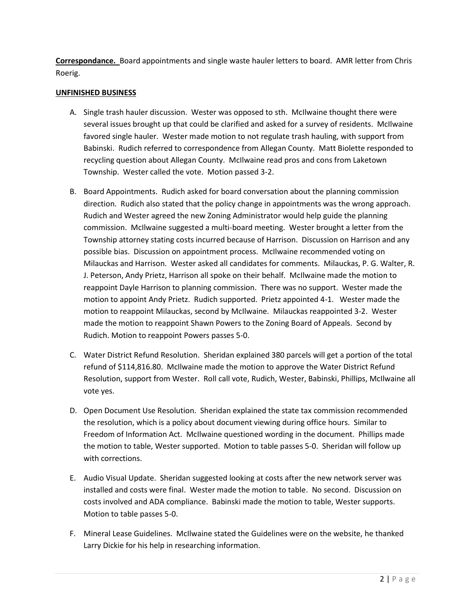**Correspondance.** Board appointments and single waste hauler letters to board. AMR letter from Chris Roerig.

# **UNFINISHED BUSINESS**

- A. Single trash hauler discussion. Wester was opposed to sth. McIlwaine thought there were several issues brought up that could be clarified and asked for a survey of residents. McIlwaine favored single hauler. Wester made motion to not regulate trash hauling, with support from Babinski. Rudich referred to correspondence from Allegan County. Matt Biolette responded to recycling question about Allegan County. McIlwaine read pros and cons from Laketown Township. Wester called the vote. Motion passed 3-2.
- B. Board Appointments. Rudich asked for board conversation about the planning commission direction. Rudich also stated that the policy change in appointments was the wrong approach. Rudich and Wester agreed the new Zoning Administrator would help guide the planning commission. McIlwaine suggested a multi-board meeting. Wester brought a letter from the Township attorney stating costs incurred because of Harrison. Discussion on Harrison and any possible bias. Discussion on appointment process. McIlwaine recommended voting on Milauckas and Harrison. Wester asked all candidates for comments. Milauckas, P. G. Walter, R. J. Peterson, Andy Prietz, Harrison all spoke on their behalf. McIlwaine made the motion to reappoint Dayle Harrison to planning commission. There was no support. Wester made the motion to appoint Andy Prietz. Rudich supported. Prietz appointed 4-1. Wester made the motion to reappoint Milauckas, second by McIlwaine. Milauckas reappointed 3-2. Wester made the motion to reappoint Shawn Powers to the Zoning Board of Appeals. Second by Rudich. Motion to reappoint Powers passes 5-0.
- C. Water District Refund Resolution. Sheridan explained 380 parcels will get a portion of the total refund of \$114,816.80. McIlwaine made the motion to approve the Water District Refund Resolution, support from Wester. Roll call vote, Rudich, Wester, Babinski, Phillips, McIlwaine all vote yes.
- D. Open Document Use Resolution. Sheridan explained the state tax commission recommended the resolution, which is a policy about document viewing during office hours. Similar to Freedom of Information Act. McIlwaine questioned wording in the document. Phillips made the motion to table, Wester supported. Motion to table passes 5-0. Sheridan will follow up with corrections.
- E. Audio Visual Update. Sheridan suggested looking at costs after the new network server was installed and costs were final. Wester made the motion to table. No second. Discussion on costs involved and ADA compliance. Babinski made the motion to table, Wester supports. Motion to table passes 5-0.
- F. Mineral Lease Guidelines. McIlwaine stated the Guidelines were on the website, he thanked Larry Dickie for his help in researching information.